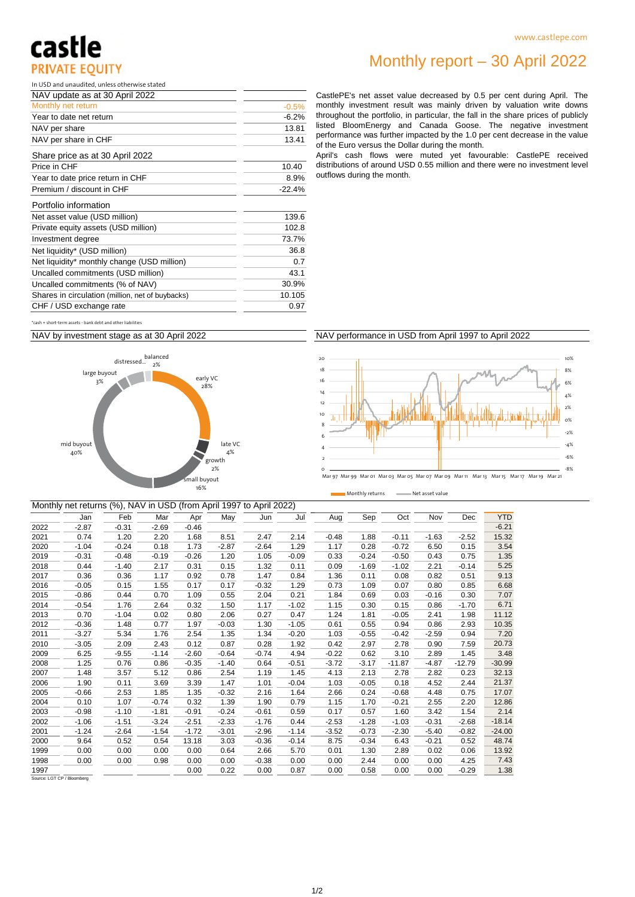## castle **PRIVATE EQUITY**

In USD and unaudited, unless otherwise stated

| NAV update as at 30 April 2022      |          |
|-------------------------------------|----------|
| Monthly net return                  | $-0.5%$  |
| Year to date net return             | $-6.2%$  |
| NAV per share                       | 13.81    |
| NAV per share in CHF                | 13.41    |
| Share price as at 30 April 2022     |          |
| Price in CHF                        | 10.40    |
| Year to date price return in CHF    | 8.9%     |
| Premium / discount in CHF           | $-22.4%$ |
| Portfolio information               |          |
| Net asset value (USD million)       | 139.6    |
| Private equity assets (USD million) | 102.8    |

Monthly report – 30 April 2022

CastlePE's net asset value decreased by 0.5 per cent during April. The monthly investment result was mainly driven by valuation write downs throughout the portfolio, in particular, the fall in the share prices of publicly listed BloomEnergy and Canada Goose. The negative investment performance was further impacted by the 1.0 per cent decrease in the value of the Euro versus the Dollar during the month.

April's cash flows were muted yet favourable: CastlePE received distributions of around USD 0.55 million and there were no investment level outflows during the month.

| *cash + short-term assets - bank debt and other liabilities |
|-------------------------------------------------------------|
|                                                             |

Net liquidity\* (USD million)

Investment degree

CHF / USD exchange rate

NAV by investment stage as at 30 April 2022

Net liquidity\* monthly change (USD million) Uncalled commitments (USD million) Uncalled commitments (% of NAV) Shares in circulation (million, net of buybacks)



### NAV performance in USD from April 1997 to April 2022





Monthly returns **Net asset value** 

|      |         | Monthly net returns (%), NAV in USD (from April 1997 to April 2022) |         |         |         |         |         |         |         |          |         |          |            |
|------|---------|---------------------------------------------------------------------|---------|---------|---------|---------|---------|---------|---------|----------|---------|----------|------------|
|      | Jan     | Feb                                                                 | Mar     | Apr     | May     | Jun     | Jul     | Aug     | Sep     | Oct      | Nov     | Dec      | <b>YTD</b> |
| 2022 | $-2.87$ | $-0.31$                                                             | $-2.69$ | $-0.46$ |         |         |         |         |         |          |         |          | $-6.21$    |
| 2021 | 0.74    | 1.20                                                                | 2.20    | 1.68    | 8.51    | 2.47    | 2.14    | $-0.48$ | 1.88    | $-0.11$  | $-1.63$ | $-2.52$  | 15.32      |
| 2020 | $-1.04$ | $-0.24$                                                             | 0.18    | 1.73    | $-2.87$ | $-2.64$ | 1.29    | 1.17    | 0.28    | $-0.72$  | 6.50    | 0.15     | 3.54       |
| 2019 | $-0.31$ | $-0.48$                                                             | $-0.19$ | $-0.26$ | 1.20    | 1.05    | $-0.09$ | 0.33    | $-0.24$ | $-0.50$  | 0.43    | 0.75     | 1.35       |
| 2018 | 0.44    | $-1.40$                                                             | 2.17    | 0.31    | 0.15    | 1.32    | 0.11    | 0.09    | $-1.69$ | $-1.02$  | 2.21    | $-0.14$  | 5.25       |
| 2017 | 0.36    | 0.36                                                                | 1.17    | 0.92    | 0.78    | 1.47    | 0.84    | 1.36    | 0.11    | 0.08     | 0.82    | 0.51     | 9.13       |
| 2016 | $-0.05$ | 0.15                                                                | 1.55    | 0.17    | 0.17    | $-0.32$ | 1.29    | 0.73    | 1.09    | 0.07     | 0.80    | 0.85     | 6.68       |
| 2015 | $-0.86$ | 0.44                                                                | 0.70    | 1.09    | 0.55    | 2.04    | 0.21    | 1.84    | 0.69    | 0.03     | $-0.16$ | 0.30     | 7.07       |
| 2014 | $-0.54$ | 1.76                                                                | 2.64    | 0.32    | 1.50    | 1.17    | $-1.02$ | 1.15    | 0.30    | 0.15     | 0.86    | $-1.70$  | 6.71       |
| 2013 | 0.70    | $-1.04$                                                             | 0.02    | 0.80    | 2.06    | 0.27    | 0.47    | 1.24    | 1.81    | $-0.05$  | 2.41    | 1.98     | 11.12      |
| 2012 | $-0.36$ | 1.48                                                                | 0.77    | 1.97    | $-0.03$ | 1.30    | $-1.05$ | 0.61    | 0.55    | 0.94     | 0.86    | 2.93     | 10.35      |
| 2011 | $-3.27$ | 5.34                                                                | 1.76    | 2.54    | 1.35    | 1.34    | $-0.20$ | 1.03    | $-0.55$ | $-0.42$  | $-2.59$ | 0.94     | 7.20       |
| 2010 | $-3.05$ | 2.09                                                                | 2.43    | 0.12    | 0.87    | 0.28    | 1.92    | 0.42    | 2.97    | 2.78     | 0.90    | 7.59     | 20.73      |
| 2009 | 6.25    | $-9.55$                                                             | $-1.14$ | $-2.60$ | $-0.64$ | $-0.74$ | 4.94    | $-0.22$ | 0.62    | 3.10     | 2.89    | 1.45     | 3.48       |
| 2008 | 1.25    | 0.76                                                                | 0.86    | $-0.35$ | $-1.40$ | 0.64    | $-0.51$ | $-3.72$ | $-3.17$ | $-11.87$ | $-4.87$ | $-12.79$ | $-30.99$   |
| 2007 | 1.48    | 3.57                                                                | 5.12    | 0.86    | 2.54    | 1.19    | 1.45    | 4.13    | 2.13    | 2.78     | 2.82    | 0.23     | 32.13      |
| 2006 | 1.90    | 0.11                                                                | 3.69    | 3.39    | 1.47    | 1.01    | $-0.04$ | 1.03    | $-0.05$ | 0.18     | 4.52    | 2.44     | 21.37      |
| 2005 | $-0.66$ | 2.53                                                                | 1.85    | 1.35    | $-0.32$ | 2.16    | 1.64    | 2.66    | 0.24    | $-0.68$  | 4.48    | 0.75     | 17.07      |
| 2004 | 0.10    | 1.07                                                                | $-0.74$ | 0.32    | 1.39    | 1.90    | 0.79    | 1.15    | 1.70    | $-0.21$  | 2.55    | 2.20     | 12.86      |
| 2003 | $-0.98$ | $-1.10$                                                             | $-1.81$ | $-0.91$ | $-0.24$ | $-0.61$ | 0.59    | 0.17    | 0.57    | 1.60     | 3.42    | 1.54     | 2.14       |
| 2002 | $-1.06$ | $-1.51$                                                             | $-3.24$ | $-2.51$ | $-2.33$ | $-1.76$ | 0.44    | $-2.53$ | $-1.28$ | $-1.03$  | $-0.31$ | $-2.68$  | $-18.14$   |
| 2001 | $-1.24$ | $-2.64$                                                             | $-1.54$ | $-1.72$ | $-3.01$ | $-2.96$ | $-1.14$ | $-3.52$ | $-0.73$ | $-2.30$  | $-5.40$ | $-0.82$  | $-24.00$   |
| 2000 | 9.64    | 0.52                                                                | 0.54    | 13.18   | 3.03    | $-0.36$ | $-0.14$ | 8.75    | $-0.34$ | 6.43     | $-0.21$ | 0.52     | 48.74      |
| 1999 | 0.00    | 0.00                                                                | 0.00    | 0.00    | 0.64    | 2.66    | 5.70    | 0.01    | 1.30    | 2.89     | 0.02    | 0.06     | 13.92      |
| 1998 | 0.00    | 0.00                                                                | 0.98    | 0.00    | 0.00    | $-0.38$ | 0.00    | 0.00    | 2.44    | 0.00     | 0.00    | 4.25     | 7.43       |
| 1997 |         |                                                                     |         | 0.00    | 0.22    | 0.00    | 0.87    | 0.00    | 0.58    | 0.00     | 0.00    | $-0.29$  | 1.38       |

30.9%

73.7%

10.105

 $0.7$ 36.8

43.1

0.97

Source: LGT CP / Bloomberg